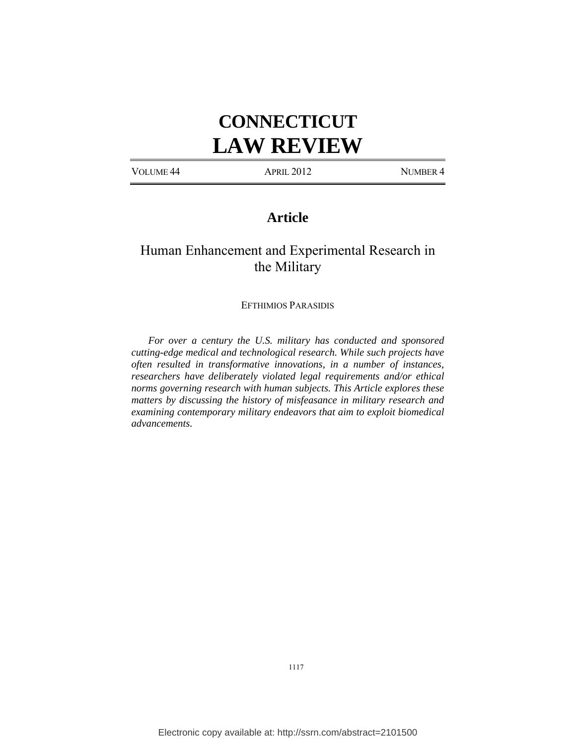# **CONNECTICUT LAW REVIEW**

VOLUME 44 APRIL 2012 NUMBER 4

## **Article**

## Human Enhancement and Experimental Research in the Military

#### EFTHIMIOS PARASIDIS

*For over a century the U.S. military has conducted and sponsored cutting-edge medical and technological research. While such projects have often resulted in transformative innovations, in a number of instances, researchers have deliberately violated legal requirements and/or ethical norms governing research with human subjects. This Article explores these matters by discussing the history of misfeasance in military research and examining contemporary military endeavors that aim to exploit biomedical advancements.*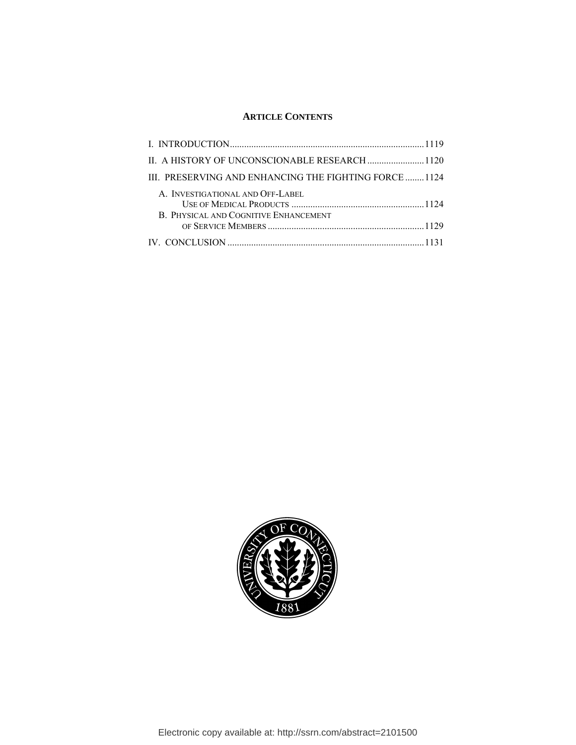### **ARTICLE CONTENTS**

| III. PRESERVING AND ENHANCING THE FIGHTING FORCE  1124                    |  |
|---------------------------------------------------------------------------|--|
| A. INVESTIGATIONAL AND OFF-LABEL<br>B. PHYSICAL AND COGNITIVE ENHANCEMENT |  |
|                                                                           |  |
|                                                                           |  |

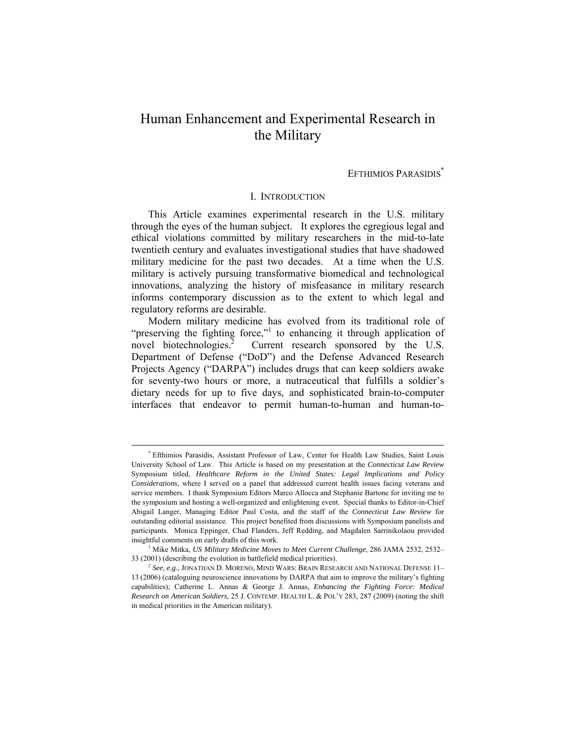## Human Enhancement and Experimental Research in the Military

#### EFTHIMIOS PARASIDIS<sup>\*</sup>

#### I. INTRODUCTION

This Article examines experimental research in the U.S. military through the eyes of the human subject. It explores the egregious legal and ethical violations committed by military researchers in the mid-to-late twentieth century and evaluates investigational studies that have shadowed military medicine for the past two decades. At a time when the U.S. military is actively pursuing transformative biomedical and technological innovations, analyzing the history of misfeasance in military research informs contemporary discussion as to the extent to which legal and regulatory reforms are desirable.

Modern military medicine has evolved from its traditional role of "preserving the fighting force,"<sup>1</sup> to enhancing it through application of novel biotechnologies.<sup>2</sup> Current research sponsored by the U.S. Department of Defense ("DoD") and the Defense Advanced Research Projects Agency ("DARPA") includes drugs that can keep soldiers awake for seventy-two hours or more, a nutraceutical that fulfills a soldier's dietary needs for up to five days, and sophisticated brain-to-computer interfaces that endeavor to permit human-to-human and human-to-

 <sup>\*</sup> Efthimios Parasidis, Assistant Professor of Law, Center for Health Law Studies, Saint Louis University School of Law. This Article is based on my presentation at the *Connecticut Law Review* Symposium titled, *Healthcare Reform in the United States: Legal Implications and Policy Considerations*, where I served on a panel that addressed current health issues facing veterans and service members. I thank Symposium Editors Marco Allocca and Stephanie Bartone for inviting me to the symposium and hosting a well-organized and enlightening event. Special thanks to Editor-in-Chief Abigail Langer, Managing Editor Paul Costa, and the staff of the *Connecticut Law Review* for outstanding editorial assistance. This project benefited from discussions with Symposium panelists and participants. Monica Eppinger, Chad Flanders, Jeff Redding, and Magdalen Sarrinikolaou provided insightful comments on early drafts of this work. 1

<sup>&</sup>lt;sup>1</sup> Mike Mitka, *US Military Medicine Moves to Meet Current Challenge*, 286 JAMA 2532, 2532– 33 (2001) (describing the evolution in battlefield medical priorities). 2 *See, e.g.*, JONATHAN D. MORENO, MIND WARS: BRAIN RESEARCH AND NATIONAL DEFENSE 11–

<sup>13</sup> (2006) (cataloguing neuroscience innovations by DARPA that aim to improve the military's fighting capabilities); Catherine L. Annas & George J. Annas, *Enhancing the Fighting Force: Medical Research on American Soldiers*, 25 J. CONTEMP. HEALTH L. & POL'Y 283, 287 (2009) (noting the shift in medical priorities in the American military).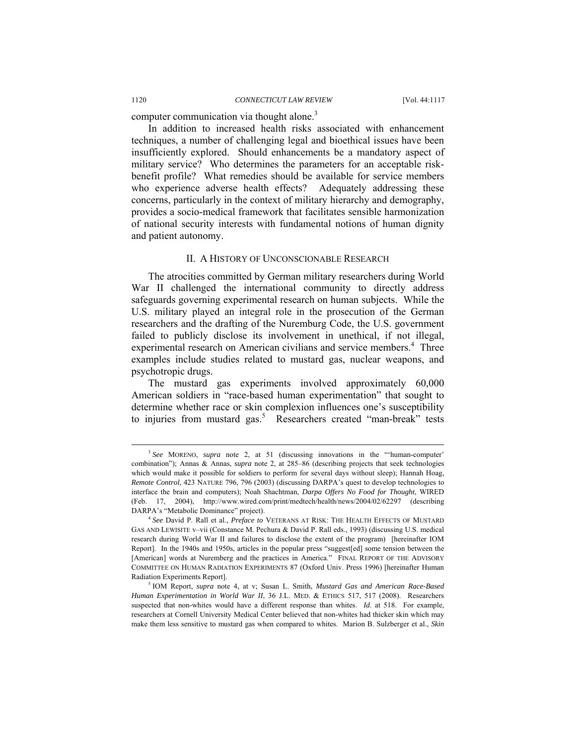computer communication via thought alone.<sup>3</sup>

In addition to increased health risks associated with enhancement techniques, a number of challenging legal and bioethical issues have been insufficiently explored. Should enhancements be a mandatory aspect of military service? Who determines the parameters for an acceptable riskbenefit profile? What remedies should be available for service members who experience adverse health effects? Adequately addressing these concerns, particularly in the context of military hierarchy and demography, provides a socio-medical framework that facilitates sensible harmonization of national security interests with fundamental notions of human dignity and patient autonomy.

#### II. A HISTORY OF UNCONSCIONABLE RESEARCH

The atrocities committed by German military researchers during World War II challenged the international community to directly address safeguards governing experimental research on human subjects. While the U.S. military played an integral role in the prosecution of the German researchers and the drafting of the Nuremburg Code, the U.S. government failed to publicly disclose its involvement in unethical, if not illegal, experimental research on American civilians and service members.<sup>4</sup> Three examples include studies related to mustard gas, nuclear weapons, and psychotropic drugs.

The mustard gas experiments involved approximately 60,000 American soldiers in "race-based human experimentation" that sought to determine whether race or skin complexion influences one's susceptibility to injuries from mustard gas.<sup>5</sup> Researchers created "man-break" tests

 <sup>3</sup> *See* MORENO, *supra* note 2, at 51 (discussing innovations in the "'human-computer' combination"); Annas & Annas, *supra* note 2, at 285–86 (describing projects that seek technologies which would make it possible for soldiers to perform for several days without sleep); Hannah Hoag, *Remote Control*, 423 NATURE 796, 796 (2003) (discussing DARPA's quest to develop technologies to interface the brain and computers); Noah Shachtman, *Darpa Offers No Food for Thought*, WIRED (Feb. 17, 2004), http://www.wired.com/print/medtech/health/news/2004/02/62297 (describing DARPA's "Metabolic Dominance" project). 4 *See* David P. Rall et al., *Preface to* VETERANS AT RISK: THE HEALTH EFFECTS OF MUSTARD

GAS AND LEWISITE v–vii (Constance M. Pechura & David P. Rall eds., 1993) (discussing U.S. medical research during World War II and failures to disclose the extent of the program) [hereinafter IOM Report]. In the 1940s and 1950s, articles in the popular press "suggest[ed] some tension between the [American] words at Nuremberg and the practices in America." FINAL REPORT OF THE ADVISORY COMMITTEE ON HUMAN RADIATION EXPERIMENTS 87 (Oxford Univ. Press 1996) [hereinafter Human Radiation Experiments Report].

IOM Report, *supra* note 4, at v; Susan L. Smith, *Mustard Gas and American Race-Based Human Experimentation in World War II*, 36 J.L. MED. & ETHICS 517, 517 (2008). Researchers suspected that non-whites would have a different response than whites. *Id*. at 518. For example, researchers at Cornell University Medical Center believed that non-whites had thicker skin which may make them less sensitive to mustard gas when compared to whites. Marion B. Sulzberger et al., *Skin*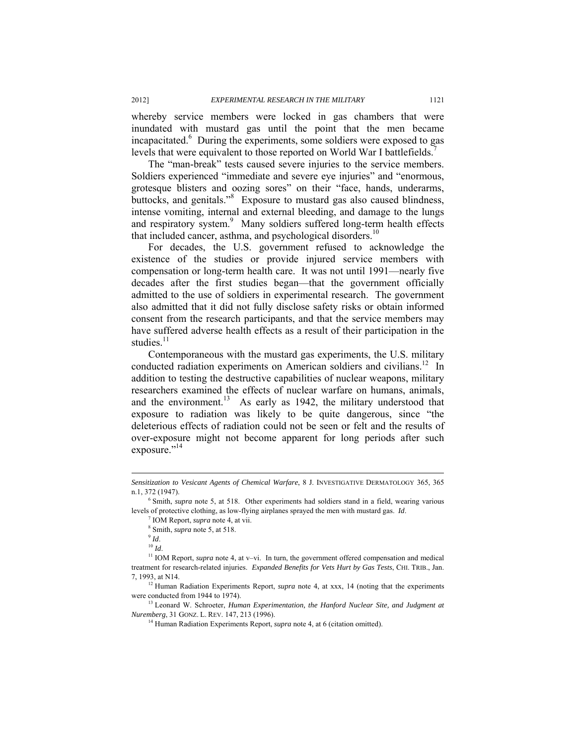whereby service members were locked in gas chambers that were inundated with mustard gas until the point that the men became incapacitated.<sup>6</sup> During the experiments, some soldiers were exposed to gas levels that were equivalent to those reported on World War I battlefields.<sup>7</sup>

The "man-break" tests caused severe injuries to the service members. Soldiers experienced "immediate and severe eye injuries" and "enormous, grotesque blisters and oozing sores" on their "face, hands, underarms, buttocks, and genitals."<sup>8</sup> Exposure to mustard gas also caused blindness, intense vomiting, internal and external bleeding, and damage to the lungs and respiratory system.<sup>9</sup> Many soldiers suffered long-term health effects that included cancer, asthma, and psychological disorders.<sup>10</sup>

For decades, the U.S. government refused to acknowledge the existence of the studies or provide injured service members with compensation or long-term health care. It was not until 1991—nearly five decades after the first studies began—that the government officially admitted to the use of soldiers in experimental research. The government also admitted that it did not fully disclose safety risks or obtain informed consent from the research participants, and that the service members may have suffered adverse health effects as a result of their participation in the studies.<sup>11</sup>

Contemporaneous with the mustard gas experiments, the U.S. military conducted radiation experiments on American soldiers and civilians.<sup>12</sup> In addition to testing the destructive capabilities of nuclear weapons, military researchers examined the effects of nuclear warfare on humans, animals, and the environment.<sup>13</sup> As early as 1942, the military understood that exposure to radiation was likely to be quite dangerous, since "the deleterious effects of radiation could not be seen or felt and the results of over-exposure might not become apparent for long periods after such exposure."<sup>14</sup>

 $\overline{\phantom{a}}$ 

*Sensitization to Vesicant Agents of Chemical Warfare*, 8 J. INVESTIGATIVE DERMATOLOGY 365, 365 n.1, 372 (1947).

<sup>&</sup>lt;sup>6</sup> Smith, *supra* note 5, at 518. Other experiments had soldiers stand in a field, wearing various levels of protective clothing, as low-flying airplanes sprayed the men with mustard gas. *Id*. 7

 $\frac{7}{8}$  IOM Report, *supra* note 4, at vii.<br><sup>8</sup> Smith, *supra* note 5, at 518.

<sup>&</sup>lt;sup>9</sup> *Id.* <sup>10</sup> *Id.* 11 *IOM* Report, *supra* note 4, at v–vi. In turn, the government offered compensation and medical <sup>11</sup> IOM Report, *supra* note 4, at v–vi. In turn, the government offered compensation and medical treatment for research-related injuries. *Expanded Benefits for Vets Hurt by Gas Tests*, CHI. TRIB., Jan. 7, 1993, at N14. 12 Human Radiation Experiments Report, *supra* note 4, at xxx, 14 (noting that the experiments

were conducted from 1944 to 1974).<br><sup>13</sup> Leonard W. Schroeter, *Human Experimentation, the Hanford Nuclear Site, and Judgment at* 

*Nuremberg*, 31 GONZ. L. REV. 147, 213 (1996).<br><sup>14</sup> Human Radiation Experiments Report, *supra* note 4, at 6 (citation omitted).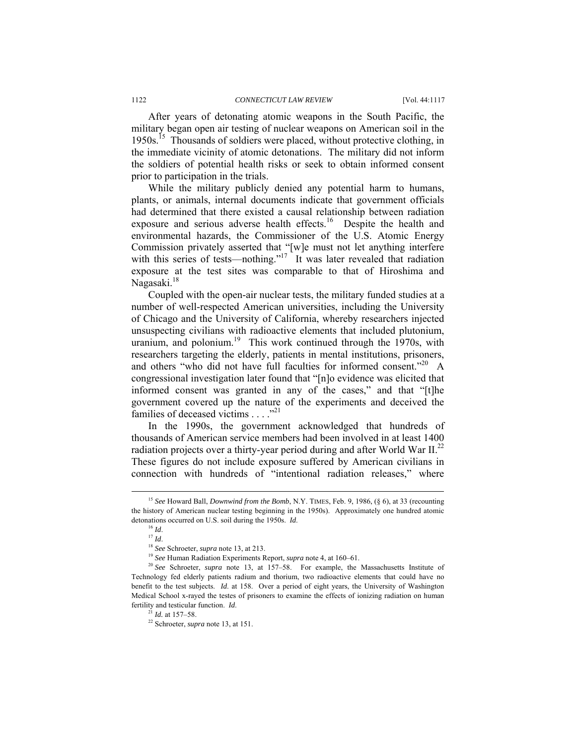After years of detonating atomic weapons in the South Pacific, the military began open air testing of nuclear weapons on American soil in the 1950s.<sup>15</sup> Thousands of soldiers were placed, without protective clothing, in the immediate vicinity of atomic detonations. The military did not inform the soldiers of potential health risks or seek to obtain informed consent prior to participation in the trials.

While the military publicly denied any potential harm to humans, plants, or animals, internal documents indicate that government officials had determined that there existed a causal relationship between radiation exposure and serious adverse health effects.<sup>16</sup> Despite the health and environmental hazards, the Commissioner of the U.S. Atomic Energy Commission privately asserted that "[w]e must not let anything interfere with this series of tests—nothing."<sup>17</sup> It was later revealed that radiation exposure at the test sites was comparable to that of Hiroshima and Nagasaki.<sup>18</sup>

Coupled with the open-air nuclear tests, the military funded studies at a number of well-respected American universities, including the University of Chicago and the University of California, whereby researchers injected unsuspecting civilians with radioactive elements that included plutonium, uranium, and polonium.<sup>19</sup> This work continued through the 1970s, with researchers targeting the elderly, patients in mental institutions, prisoners, and others "who did not have full faculties for informed consent."<sup>20</sup> A congressional investigation later found that "[n]o evidence was elicited that informed consent was granted in any of the cases," and that "[t]he government covered up the nature of the experiments and deceived the families of deceased victims  $\dots$ ."<sup>21</sup>

In the 1990s, the government acknowledged that hundreds of thousands of American service members had been involved in at least 1400 radiation projects over a thirty-year period during and after World War II.<sup>22</sup> These figures do not include exposure suffered by American civilians in connection with hundreds of "intentional radiation releases," where

 <sup>15</sup> *See* Howard Ball, *Downwind from the Bomb*, N.Y. TIMES, Feb. 9, 1986, (§ 6), at 33 (recounting the history of American nuclear testing beginning in the 1950s). Approximately one hundred atomic

detonations occurred on U.S. soil during the 1950s. *Id.*<br><sup>16</sup> *Id.*<br><sup>17</sup> *Id.*<br><sup>18</sup> *See* Schroeter, *supra* note 13, at 213.<br><sup>19</sup> *See* Human Radiation Experiments Report, *supra* note 4, at 160–61.<br><sup>20</sup> *See* Schroeter Technology fed elderly patients radium and thorium, two radioactive elements that could have no benefit to the test subjects. *Id*. at 158. Over a period of eight years, the University of Washington Medical School x-rayed the testes of prisoners to examine the effects of ionizing radiation on human fertility and testicular function. *Id*. 21 *Id.* at 157–58. 22 Schroeter, *supra* note 13, at 151.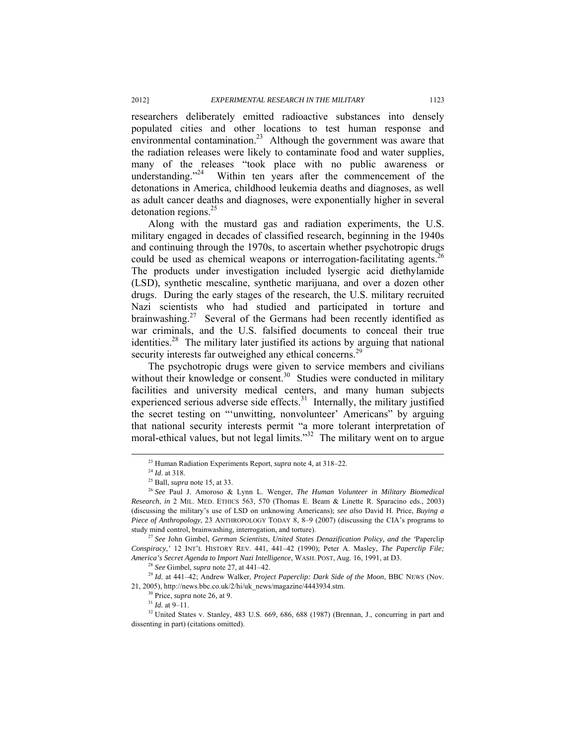researchers deliberately emitted radioactive substances into densely populated cities and other locations to test human response and environmental contamination.<sup>23</sup> Although the government was aware that the radiation releases were likely to contaminate food and water supplies, many of the releases "took place with no public awareness or understanding."<sup>24</sup> Within ten years after the commencement of the Within ten years after the commencement of the detonations in America, childhood leukemia deaths and diagnoses, as well as adult cancer deaths and diagnoses, were exponentially higher in several detonation regions. $^{25}$ 

Along with the mustard gas and radiation experiments, the U.S. military engaged in decades of classified research, beginning in the 1940s and continuing through the 1970s, to ascertain whether psychotropic drugs could be used as chemical weapons or interrogation-facilitating agents.<sup>26</sup> The products under investigation included lysergic acid diethylamide (LSD), synthetic mescaline, synthetic marijuana, and over a dozen other drugs. During the early stages of the research, the U.S. military recruited Nazi scientists who had studied and participated in torture and brainwashing.<sup>27</sup> Several of the Germans had been recently identified as war criminals, and the U.S. falsified documents to conceal their true identities.<sup>28</sup> The military later justified its actions by arguing that national security interests far outweighed any ethical concerns.<sup>29</sup>

The psychotropic drugs were given to service members and civilians without their knowledge or consent.<sup>30</sup> Studies were conducted in military facilities and university medical centers, and many human subjects experienced serious adverse side effects.<sup>31</sup> Internally, the military justified the secret testing on "'unwitting, nonvolunteer' Americans" by arguing that national security interests permit "a more tolerant interpretation of moral-ethical values, but not legal limits."<sup>32</sup> The military went on to argue

*Conspiracy*,*'* 12 INT'L HISTORY REV. 441, 441–42 (1990); Peter A. Masley, *The Paperclip File;* 

<sup>&</sup>lt;sup>23</sup> Human Radiation Experiments Report, *supra* note 4, at 318–22.<br><sup>24</sup> *Id.* at 318.<br><sup>25</sup> Ball, *supra* note 15, at 33.<br><sup>25</sup> See Paul J. Amoroso & Lynn L. Wenger, *The Human Volunteer in Military Biomedical Research*, *in* 2 MIL. MED. ETHICS 563, 570 (Thomas E. Beam & Linette R. Sparacino eds., 2003) (discussing the military's use of LSD on unknowing Americans); *see also* David H. Price, *Buying a Piece of Anthropology*, 23 ANTHROPOLOGY TODAY 8, 8–9 (2007) (discussing the CIA's programs to study mind control, brainwashing, interrogation, and torture). 27 *See* John Gimbel, *German Scientists, United States Denazification Policy, and the '*Paperclip

<sup>&</sup>lt;sup>28</sup> See Gimbel, supra note 27, at 441–42.<br><sup>29</sup> Id. at 441–42; Andrew Walker, *Project Paperclip: Dark Side of the Moon*, BBC NEWS (Nov. 21, 2005), http://news.bbc.co.uk/2/hi/uk\_news/magazine/4443934.stm.<br><sup>30</sup> Price, *supra* note 26, at 9. <sup>31</sup> *Id.* at 9–11. <sup>32</sup> United States v. Stanley, 483 U.S. 669, 686, 688 (1987) (Brennan, J., concurring in part and

dissenting in part) (citations omitted).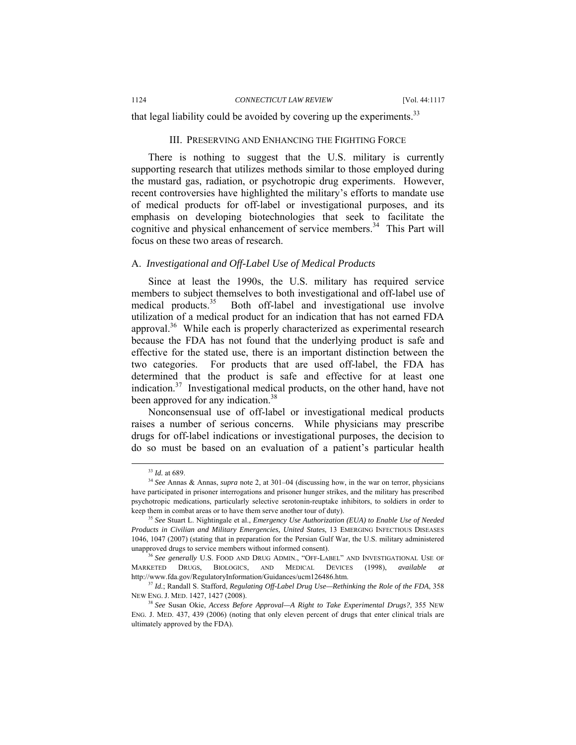that legal liability could be avoided by covering up the experiments.<sup>33</sup>

#### III. PRESERVING AND ENHANCING THE FIGHTING FORCE

There is nothing to suggest that the U.S. military is currently supporting research that utilizes methods similar to those employed during the mustard gas, radiation, or psychotropic drug experiments. However, recent controversies have highlighted the military's efforts to mandate use of medical products for off-label or investigational purposes, and its emphasis on developing biotechnologies that seek to facilitate the cognitive and physical enhancement of service members.<sup>34</sup> This Part will focus on these two areas of research.

#### A. *Investigational and Off-Label Use of Medical Products*

Since at least the 1990s, the U.S. military has required service members to subject themselves to both investigational and off-label use of medical products.<sup>35</sup> Both off-label and investigational use involve utilization of a medical product for an indication that has not earned FDA approval.<sup>36</sup> While each is properly characterized as experimental research because the FDA has not found that the underlying product is safe and effective for the stated use, there is an important distinction between the two categories. For products that are used off-label, the FDA has determined that the product is safe and effective for at least one indication.<sup>37</sup> Investigational medical products, on the other hand, have not been approved for any indication.<sup>38</sup>

Nonconsensual use of off-label or investigational medical products raises a number of serious concerns. While physicians may prescribe drugs for off-label indications or investigational purposes, the decision to do so must be based on an evaluation of a patient's particular health

<sup>&</sup>lt;sup>33</sup> *Id.* at 689.<br><sup>34</sup> *See* Annas & Annas, *supra* note 2, at 301–04 (discussing how, in the war on terror, physicians have participated in prisoner interrogations and prisoner hunger strikes, and the military has prescribed psychotropic medications, particularly selective serotonin-reuptake inhibitors, to soldiers in order to keep them in combat areas or to have them serve another tour of duty). 35 *See* Stuart L. Nightingale et al., *Emergency Use Authorization (EUA) to Enable Use of Needed* 

*Products in Civilian and Military Emergencies, United States*, 13 EMERGING INFECTIOUS DISEASES 1046, 1047 (2007) (stating that in preparation for the Persian Gulf War, the U.S. military administered unapproved drugs to service members without informed consent).<br><sup>36</sup> *See generally* U.S. FOOD AND DRUG ADMIN., "OFF-LABEL" AND INVESTIGATIONAL USE OF

MARKETED DRUGS, BIOLOGICS, AND MEDICAL DEVICES (1998), *available at*  http://www.fda.gov/RegulatoryInformation/Guidances/ucm126486.htm. 37 *Id.*; Randall S. Stafford, *Regulating Off-Label Drug Use—Rethinking the Role of the FDA*, 358

NEW ENG. J. MED. 1427, 1427 (2008). 38 *See* Susan Okie, *Access Before Approval—A Right to Take Experimental Drugs?*, 355 NEW

ENG. J. MED. 437, 439 (2006) (noting that only eleven percent of drugs that enter clinical trials are ultimately approved by the FDA).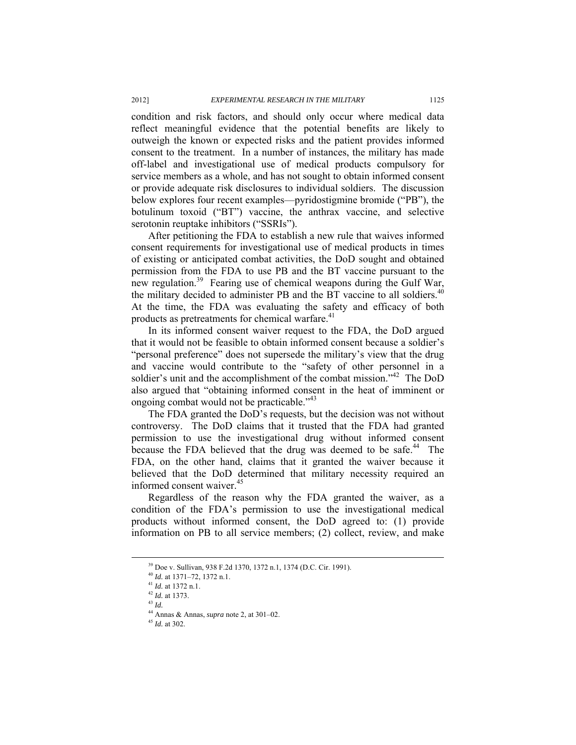condition and risk factors, and should only occur where medical data reflect meaningful evidence that the potential benefits are likely to outweigh the known or expected risks and the patient provides informed consent to the treatment. In a number of instances, the military has made off-label and investigational use of medical products compulsory for service members as a whole, and has not sought to obtain informed consent or provide adequate risk disclosures to individual soldiers. The discussion below explores four recent examples—pyridostigmine bromide ("PB"), the botulinum toxoid ("BT") vaccine, the anthrax vaccine, and selective serotonin reuptake inhibitors ("SSRIs").

After petitioning the FDA to establish a new rule that waives informed consent requirements for investigational use of medical products in times of existing or anticipated combat activities, the DoD sought and obtained permission from the FDA to use PB and the BT vaccine pursuant to the new regulation.<sup>39</sup> Fearing use of chemical weapons during the Gulf War, the military decided to administer PB and the BT vaccine to all soldiers.<sup>40</sup> At the time, the FDA was evaluating the safety and efficacy of both products as pretreatments for chemical warfare.<sup>41</sup>

In its informed consent waiver request to the FDA, the DoD argued that it would not be feasible to obtain informed consent because a soldier's "personal preference" does not supersede the military's view that the drug and vaccine would contribute to the "safety of other personnel in a soldier's unit and the accomplishment of the combat mission."<sup>42</sup> The DoD also argued that "obtaining informed consent in the heat of imminent or ongoing combat would not be practicable."<sup>43</sup>

The FDA granted the DoD's requests, but the decision was not without controversy. The DoD claims that it trusted that the FDA had granted permission to use the investigational drug without informed consent because the FDA believed that the drug was deemed to be safe.<sup>44</sup> The FDA, on the other hand, claims that it granted the waiver because it believed that the DoD determined that military necessity required an informed consent waiver.<sup>45</sup>

Regardless of the reason why the FDA granted the waiver, as a condition of the FDA's permission to use the investigational medical products without informed consent, the DoD agreed to: (1) provide information on PB to all service members; (2) collect, review, and make

<sup>&</sup>lt;sup>39</sup> Doe v. Sullivan, 938 F.2d 1370, 1372 n.1, 1374 (D.C. Cir. 1991).<br><sup>40</sup> *Id.* at 1371–72, 1372 n.1.<br><sup>41</sup> *Id.* at 1372 n.1.<br><sup>42</sup> *Id.* at 1373.<br><sup>43</sup> *Id*.

<sup>44</sup> Annas & Annas, *supra* note 2, at 301–02. 45 *Id.* at 302.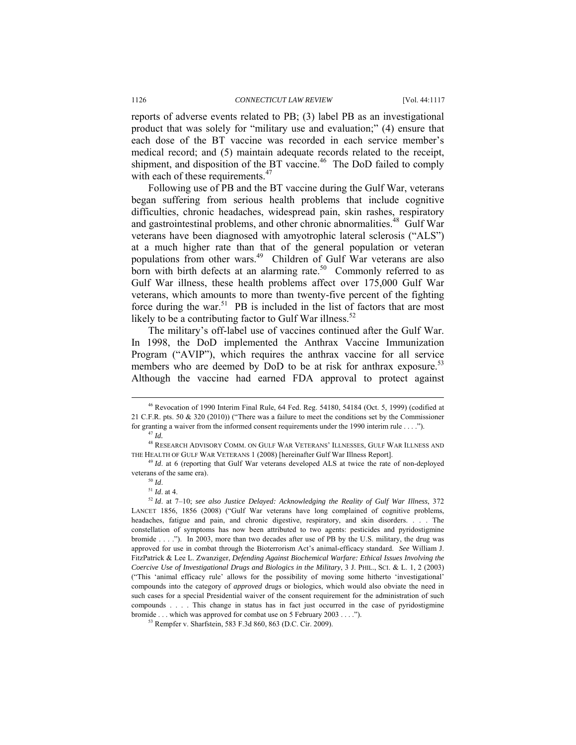reports of adverse events related to PB; (3) label PB as an investigational product that was solely for "military use and evaluation;" (4) ensure that each dose of the BT vaccine was recorded in each service member's medical record; and (5) maintain adequate records related to the receipt, shipment, and disposition of the BT vaccine.<sup>46</sup> The DoD failed to comply with each of these requirements.<sup>47</sup>

Following use of PB and the BT vaccine during the Gulf War, veterans began suffering from serious health problems that include cognitive difficulties, chronic headaches, widespread pain, skin rashes, respiratory and gastrointestinal problems, and other chronic abnormalities.<sup>48</sup> Gulf War veterans have been diagnosed with amyotrophic lateral sclerosis ("ALS") at a much higher rate than that of the general population or veteran populations from other wars.<sup>49</sup> Children of Gulf War veterans are also born with birth defects at an alarming rate.<sup>50</sup> Commonly referred to as Gulf War illness, these health problems affect over 175,000 Gulf War veterans, which amounts to more than twenty-five percent of the fighting force during the war.<sup>51</sup> PB is included in the list of factors that are most likely to be a contributing factor to Gulf War illness. $52$ 

The military's off-label use of vaccines continued after the Gulf War. In 1998, the DoD implemented the Anthrax Vaccine Immunization Program ("AVIP"), which requires the anthrax vaccine for all service members who are deemed by DoD to be at risk for anthrax exposure.<sup>53</sup> Although the vaccine had earned FDA approval to protect against

 <sup>46</sup> Revocation of 1990 Interim Final Rule, 64 Fed. Reg. 54180, 54184 (Oct. 5, 1999) (codified at 21 C.F.R. pts. 50 & 320 (2010)) ("There was a failure to meet the conditions set by the Commissioner for granting a waiver from the informed consent requirements under the 1990 interim rule . . . ."). 47 *Id.*

<sup>48</sup> RESEARCH ADVISORY COMM. ON GULF WAR VETERANS' ILLNESSES, GULF WAR ILLNESS AND THE HEALTH OF GULF WAR VETERANS 1 (2008) [hereinafter Gulf War Illness Report]. 49 *Id*. at 6 (reporting that Gulf War veterans developed ALS at twice the rate of non-deployed

veterans of the same era).<br><sup>50</sup> *Id*. at 4.<br><sup>51</sup> *Id*. at 7–10; *see also Justice Delayed: Acknowledging the Reality of Gulf War Illness*, 372

LANCET 1856, 1856 (2008) ("Gulf War veterans have long complained of cognitive problems, headaches, fatigue and pain, and chronic digestive, respiratory, and skin disorders. . . . The constellation of symptoms has now been attributed to two agents: pesticides and pyridostigmine bromide . . . ."). In 2003, more than two decades after use of PB by the U.S. military, the drug was approved for use in combat through the Bioterrorism Act's animal-efficacy standard. *See* William J. FitzPatrick & Lee L. Zwanziger, *Defending Against Biochemical Warfare: Ethical Issues Involving the Coercive Use of Investigational Drugs and Biologics in the Military*, 3 J. PHIL., SCI. & L. 1, 2 (2003) ("This 'animal efficacy rule' allows for the possibility of moving some hitherto 'investigational' compounds into the category of *approved* drugs or biologics, which would also obviate the need in such cases for a special Presidential waiver of the consent requirement for the administration of such compounds . . . . This change in status has in fact just occurred in the case of pyridostigmine bromide . . . which was approved for combat use on 5 February 2003 . . . ."). <sup>53</sup> Rempfer v. Sharfstein, 583 F.3d 860, 863 (D.C. Cir. 2009).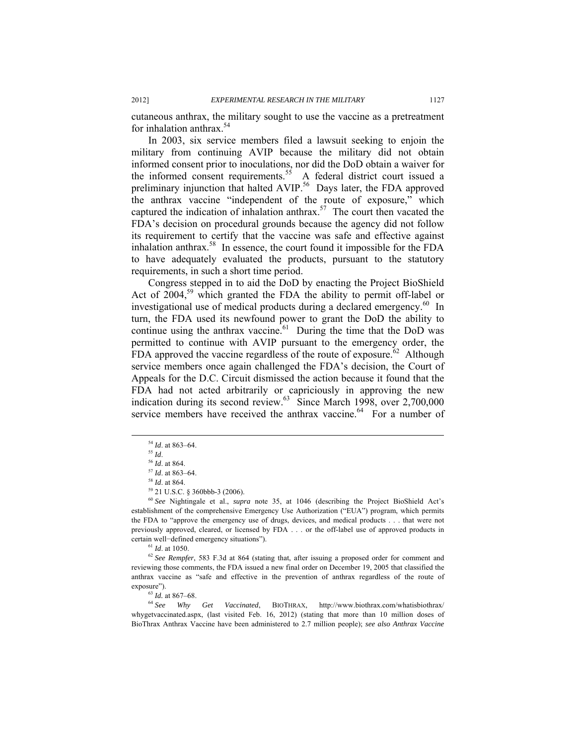cutaneous anthrax, the military sought to use the vaccine as a pretreatment for inhalation anthrax. $54$ 

In 2003, six service members filed a lawsuit seeking to enjoin the military from continuing AVIP because the military did not obtain informed consent prior to inoculations, nor did the DoD obtain a waiver for the informed consent requirements.<sup>55</sup> A federal district court issued a preliminary injunction that halted AVIP.<sup>56</sup> Days later, the FDA approved the anthrax vaccine "independent of the route of exposure," which captured the indication of inhalation anthrax.<sup>57</sup> The court then vacated the FDA's decision on procedural grounds because the agency did not follow its requirement to certify that the vaccine was safe and effective against inhalation anthrax.<sup>58</sup> In essence, the court found it impossible for the FDA to have adequately evaluated the products, pursuant to the statutory requirements, in such a short time period.

Congress stepped in to aid the DoD by enacting the Project BioShield Act of  $2004$ ,<sup>59</sup> which granted the FDA the ability to permit off-label or investigational use of medical products during a declared emergency.<sup>60</sup> In turn, the FDA used its newfound power to grant the DoD the ability to continue using the anthrax vaccine. $61$  During the time that the DoD was permitted to continue with AVIP pursuant to the emergency order, the FDA approved the vaccine regardless of the route of exposure.<sup> $62$ </sup> Although service members once again challenged the FDA's decision, the Court of Appeals for the D.C. Circuit dismissed the action because it found that the FDA had not acted arbitrarily or capriciously in approving the new indication during its second review.<sup>63</sup> Since March 1998, over 2,700,000 service members have received the anthrax vaccine.<sup>64</sup> For a number of

reviewing those comments, the FDA issued a new final order on December 19, 2005 that classified the anthrax vaccine as "safe and effective in the prevention of anthrax regardless of the route of

exposure").<br><sup>63</sup> *Id.* at 867–68.<br><sup>64</sup> *See Why Get Vaccinated*, BIOTHRAX, http://www.biothrax.com/whatisbiothrax/ whygetvaccinated.aspx, (last visited Feb. 16, 2012) (stating that more than 10 million doses of BioThrax Anthrax Vaccine have been administered to 2.7 million people); *see also Anthrax Vaccine* 

<sup>&</sup>lt;sup>54</sup> *Id.* at 863–64.<br><sup>55</sup> *Id.* at 864.<br><sup>57</sup> *Id.* at 863–64.<br><sup>58</sup> *Id.* at 864.<br><sup>59</sup> 21 U.S.C. § 360bbb-3 (2006).

<sup>60</sup> *See* Nightingale et al., *supra* note 35, at 1046 (describing the Project BioShield Act's establishment of the comprehensive Emergency Use Authorization ("EUA") program, which permits the FDA to "approve the emergency use of drugs, devices, and medical products . . . that were not previously approved, cleared, or licensed by FDA . . . or the off-label use of approved products in certain well−defined emergency situations").<br><sup>61</sup> *Id.* at 1050.<br><sup>62</sup> *See Rempfer*, 583 F.3d at 864 (stating that, after issuing a proposed order for comment and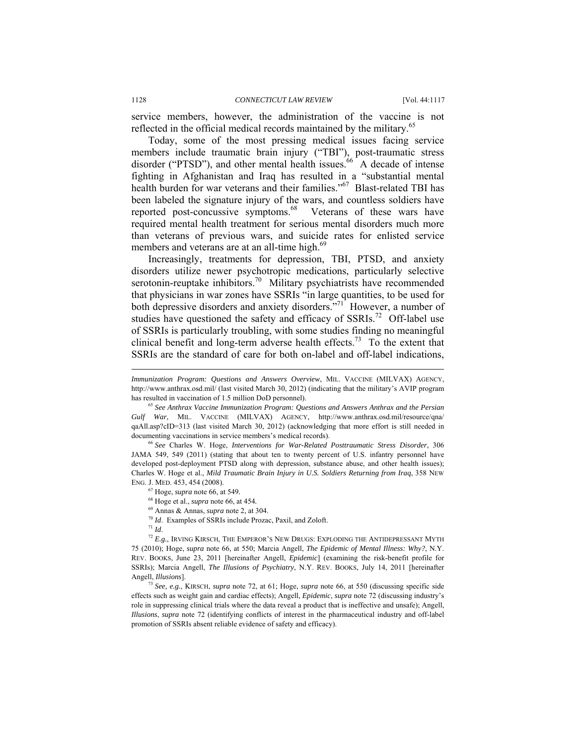service members, however, the administration of the vaccine is not reflected in the official medical records maintained by the military.<sup>65</sup>

Today, some of the most pressing medical issues facing service members include traumatic brain injury ("TBI"), post-traumatic stress disorder ("PTSD"), and other mental health issues.<sup>66</sup> A decade of intense fighting in Afghanistan and Iraq has resulted in a "substantial mental health burden for war veterans and their families."<sup>67</sup> Blast-related TBI has been labeled the signature injury of the wars, and countless soldiers have reported post-concussive symptoms.<sup>68</sup> Veterans of these wars have required mental health treatment for serious mental disorders much more than veterans of previous wars, and suicide rates for enlisted service members and veterans are at an all-time high. $69$ 

Increasingly, treatments for depression, TBI, PTSD, and anxiety disorders utilize newer psychotropic medications, particularly selective serotonin-reuptake inhibitors.<sup>70</sup> Military psychiatrists have recommended that physicians in war zones have SSRIs "in large quantities, to be used for both depressive disorders and anxiety disorders."<sup>71</sup> However, a number of studies have questioned the safety and efficacy of  $SSRIs.<sup>72</sup>$  Off-label use of SSRIs is particularly troubling, with some studies finding no meaningful clinical benefit and long-term adverse health effects.<sup>73</sup> To the extent that SSRIs are the standard of care for both on-label and off-label indications,

JAMA 549, 549 (2011) (stating that about ten to twenty percent of U.S. infantry personnel have developed post-deployment PTSD along with depression, substance abuse, and other health issues); Charles W. Hoge et al., *Mild Traumatic Brain Injury in U.S. Soldiers Returning from Iraq*, 358 NEW ENG. J. MED. 453, 454 (2008). 67 Hoge, *supra* note 66, at 549*.*

- 
- <sup>68</sup> Hoge et al., *supra* note 66, at 454.<br><sup>69</sup> Annas & Annas, *supra* note 2, at 304.

l

<sup>70</sup> Id. Examples of SSRIs include Prozac, Paxil, and Zoloft.<br><sup>71</sup> Id. 72 *E.g.*, IRVING KIRSCH, THE EMPEROR'S NEW DRUGS: EXPLODING THE ANTIDEPRESSANT MYTH 75 (2010); Hoge, *supra* note 66, at 550; Marcia Angell, *The Epidemic of Mental Illness: Why?*, N.Y. REV. BOOKS, June 23, 2011 [hereinafter Angell, *Epidemic*] (examining the risk-benefit profile for SSRIs); Marcia Angell, *The Illusions of Psychiatry*, N.Y. REV. BOOKS, July 14, 2011 [hereinafter Angell, *Illusions*]. 73 *See, e.g.*, KIRSCH, *supra* note 72, at 61; Hoge, *supra* note 66, at 550 (discussing specific side

effects such as weight gain and cardiac effects); Angell, *Epidemic*, *supra* note 72 (discussing industry's role in suppressing clinical trials where the data reveal a product that is ineffective and unsafe); Angell, *Illusions*, *supra* note 72 (identifying conflicts of interest in the pharmaceutical industry and off-label promotion of SSRIs absent reliable evidence of safety and efficacy).

*Immunization Program: Questions and Answers Overview*, MIL. VACCINE (MILVAX) AGENCY, http://www.anthrax.osd.mil/ (last visited March 30, 2012) (indicating that the military's AVIP program has resulted in vaccination of 1.5 million DoD personnel). 65 *See Anthrax Vaccine Immunization Program: Questions and Answers Anthrax and the Persian* 

*Gulf War*, MIL. VACCINE (MILVAX) AGENCY, http://www.anthrax.osd.mil/resource/qna/ qaAll.asp?cID=313 (last visited March 30, 2012) (acknowledging that more effort is still needed in documenting vaccinations in service members's medical records). 66 *See* Charles W. Hoge, *Interventions for War-Related Posttraumatic Stress Disorder*, 306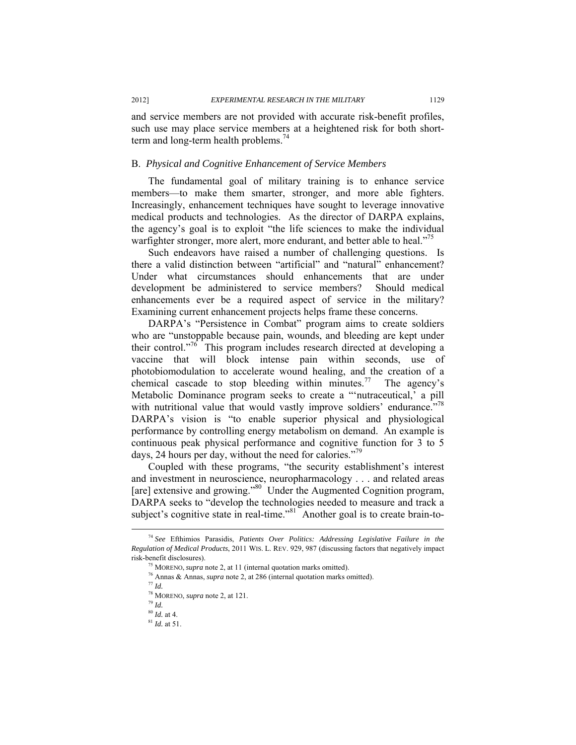and service members are not provided with accurate risk-benefit profiles, such use may place service members at a heightened risk for both shortterm and long-term health problems.<sup>74</sup>

#### B. *Physical and Cognitive Enhancement of Service Members*

The fundamental goal of military training is to enhance service members—to make them smarter, stronger, and more able fighters. Increasingly, enhancement techniques have sought to leverage innovative medical products and technologies. As the director of DARPA explains, the agency's goal is to exploit "the life sciences to make the individual warfighter stronger, more alert, more endurant, and better able to heal."<sup>15</sup>

Such endeavors have raised a number of challenging questions. Is there a valid distinction between "artificial" and "natural" enhancement? Under what circumstances should enhancements that are under development be administered to service members? Should medical enhancements ever be a required aspect of service in the military? Examining current enhancement projects helps frame these concerns.

DARPA's "Persistence in Combat" program aims to create soldiers who are "unstoppable because pain, wounds, and bleeding are kept under their control."<sup>76</sup> This program includes research directed at developing a vaccine that will block intense pain within seconds, use of photobiomodulation to accelerate wound healing, and the creation of a chemical cascade to stop bleeding within minutes.<sup>77</sup> The agency's Metabolic Dominance program seeks to create a "'nutraceutical,' a pill with nutritional value that would vastly improve soldiers' endurance."<sup>78</sup> DARPA's vision is "to enable superior physical and physiological performance by controlling energy metabolism on demand. An example is continuous peak physical performance and cognitive function for 3 to 5 days, 24 hours per day, without the need for calories."<sup>79</sup>

Coupled with these programs, "the security establishment's interest and investment in neuroscience, neuropharmacology . . . and related areas [are] extensive and growing."<sup>80</sup> Under the Augmented Cognition program, DARPA seeks to "develop the technologies needed to measure and track a subject's cognitive state in real-time."<sup>81</sup> Another goal is to create brain-to-

 <sup>74</sup> *See* Efthimios Parasidis, *Patients Over Politics: Addressing Legislative Failure in the Regulation of Medical Products*, 2011 WIS. L. REV. 929, 987 (discussing factors that negatively impact

<sup>&</sup>lt;sup>75</sup> MORENO, *supra* note 2, at 11 (internal quotation marks omitted). <sup>76</sup> Annas & Annas, *supra* note 2, at 286 (internal quotation marks omitted). <sup>77</sup> *Id*.

<sup>&</sup>lt;sup>78</sup> MORENO, *supra* note 2, at 121.<br><sup>79</sup> *Id.* <sup>80</sup> *Id.* at 4.

<sup>&</sup>lt;sup>81</sup> *Id.* at 51.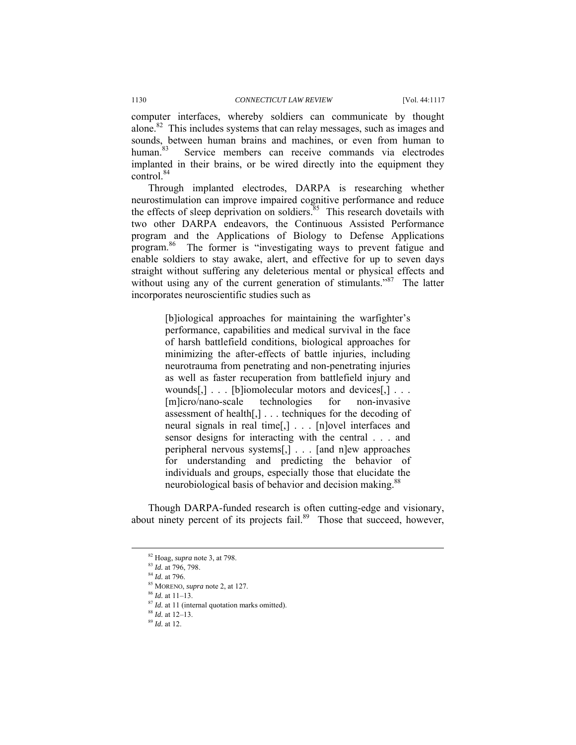computer interfaces, whereby soldiers can communicate by thought alone.82 This includes systems that can relay messages, such as images and sounds, between human brains and machines, or even from human to human.<sup>83</sup> Service members can receive commands via electrodes implanted in their brains, or be wired directly into the equipment they control.84

Through implanted electrodes, DARPA is researching whether neurostimulation can improve impaired cognitive performance and reduce the effects of sleep deprivation on soldiers.<sup>85</sup> This research dovetails with two other DARPA endeavors, the Continuous Assisted Performance program and the Applications of Biology to Defense Applications program.86 The former is "investigating ways to prevent fatigue and enable soldiers to stay awake, alert, and effective for up to seven days straight without suffering any deleterious mental or physical effects and without using any of the current generation of stimulants."<sup>87</sup> The latter incorporates neuroscientific studies such as

> [b]iological approaches for maintaining the warfighter's performance, capabilities and medical survival in the face of harsh battlefield conditions, biological approaches for minimizing the after-effects of battle injuries, including neurotrauma from penetrating and non-penetrating injuries as well as faster recuperation from battlefield injury and wounds[,] . . . [b]iomolecular motors and devices[,] . . . [m]icro/nano-scale technologies for non-invasive assessment of health[,] . . . techniques for the decoding of neural signals in real time[,] . . . [n]ovel interfaces and sensor designs for interacting with the central . . . and peripheral nervous systems[,] . . . [and n]ew approaches for understanding and predicting the behavior of individuals and groups, especially those that elucidate the neurobiological basis of behavior and decision making.<sup>88</sup>

Though DARPA-funded research is often cutting-edge and visionary, about ninety percent of its projects fail.<sup>89</sup> Those that succeed, however,

<sup>&</sup>lt;sup>82</sup> Hoag, *supra* note 3, at 798.<br><sup>83</sup> *Id.* at 796, 798.<br><sup>84</sup> *Id.* at 796.<br><sup>85</sup> MORENO, *supra* note 2, at 127.<br><sup>86</sup> *Id.* at 11–13.<br><sup>87</sup> *Id.* at 11 (internal quotation marks omitted).<br><sup>88</sup> *Id.* at 12–13.<br><sup>89</sup> *Id.*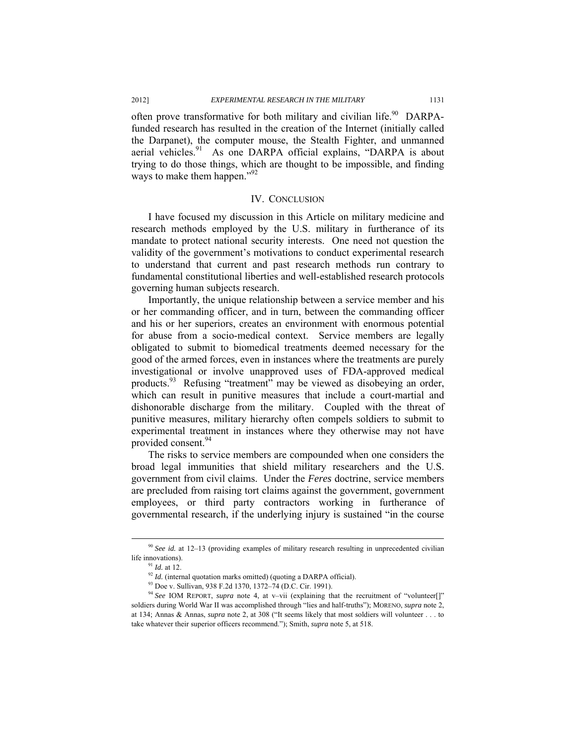often prove transformative for both military and civilian life.<sup>90</sup> DARPAfunded research has resulted in the creation of the Internet (initially called the Darpanet), the computer mouse, the Stealth Fighter, and unmanned aerial vehicles. $91$  As one DARPA official explains, "DARPA is about trying to do those things, which are thought to be impossible, and finding ways to make them happen."<sup>92</sup>

#### IV. CONCLUSION

I have focused my discussion in this Article on military medicine and research methods employed by the U.S. military in furtherance of its mandate to protect national security interests. One need not question the validity of the government's motivations to conduct experimental research to understand that current and past research methods run contrary to fundamental constitutional liberties and well-established research protocols governing human subjects research.

Importantly, the unique relationship between a service member and his or her commanding officer, and in turn, between the commanding officer and his or her superiors, creates an environment with enormous potential for abuse from a socio-medical context. Service members are legally obligated to submit to biomedical treatments deemed necessary for the good of the armed forces, even in instances where the treatments are purely investigational or involve unapproved uses of FDA-approved medical products.<sup>93</sup> Refusing "treatment" may be viewed as disobeying an order, which can result in punitive measures that include a court-martial and dishonorable discharge from the military. Coupled with the threat of punitive measures, military hierarchy often compels soldiers to submit to experimental treatment in instances where they otherwise may not have provided consent.<sup>94</sup>

The risks to service members are compounded when one considers the broad legal immunities that shield military researchers and the U.S. government from civil claims. Under the *Feres* doctrine, service members are precluded from raising tort claims against the government, government employees, or third party contractors working in furtherance of governmental research, if the underlying injury is sustained "in the course

 <sup>90</sup> *See id.* at 12–13 (providing examples of military research resulting in unprecedented civilian life innovations).<br><sup>91</sup> *Id.* at 12.<br><sup>92</sup> *Id.* (internal quotation marks omitted) (quoting a DARPA official).<br><sup>93</sup> Doe v. Sullivan, 938 F.2d 1370, 1372–74 (D.C. Cir. 1991).

<sup>&</sup>lt;sup>94</sup> See IOM REPORT, *supra* note 4, at v-vii (explaining that the recruitment of "volunteer[]" soldiers during World War II was accomplished through "lies and half-truths"); MORENO, *supra* note 2, at 134; Annas & Annas, *supra* note 2, at 308 ("It seems likely that most soldiers will volunteer . . . to take whatever their superior officers recommend."); Smith, *supra* note 5, at 518.